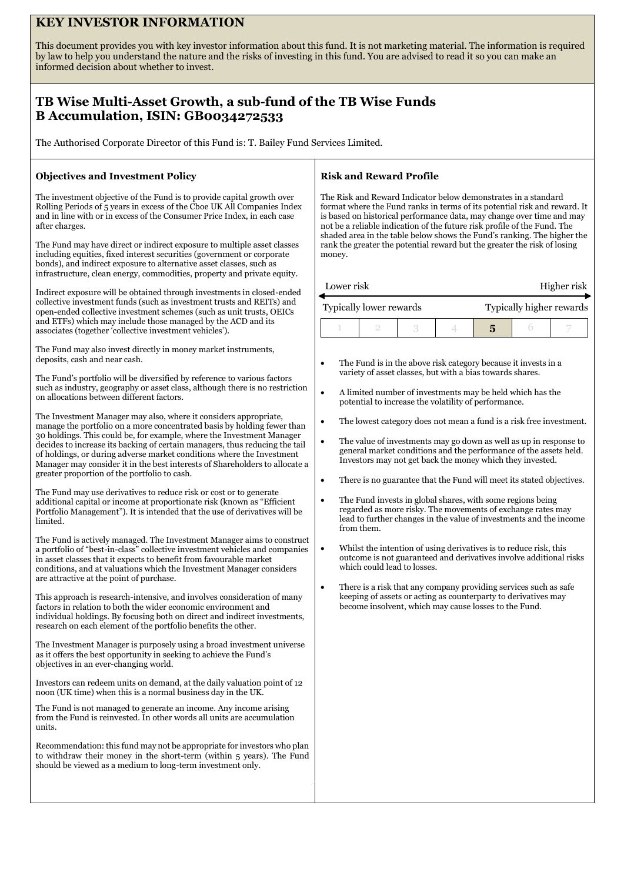# **KEY INVESTOR INFORMATION**

This document provides you with key investor information about this fund. It is not marketing material. The information is required by law to help you understand the nature and the risks of investing in this fund. You are advised to read it so you can make an informed decision about whether to invest.

# **TB Wise Multi-Asset Growth, a sub-fund of the TB Wise Funds B Accumulation, ISIN: GB0034272533**

The Authorised Corporate Director of this Fund is: T. Bailey Fund Services Limited.

## **Objectives and Investment Policy**

The investment objective of the Fund is to provide capital growth over Rolling Periods of 5 years in excess of the Cboe UK All Companies Index and in line with or in excess of the Consumer Price Index, in each case after charges.

The Fund may have direct or indirect exposure to multiple asset classes including equities, fixed interest securities (government or corporate bonds), and indirect exposure to alternative asset classes, such as infrastructure, clean energy, commodities, property and private equity.

Indirect exposure will be obtained through investments in closed-ended collective investment funds (such as investment trusts and REITs) and open-ended collective investment schemes (such as unit trusts, OEICs and ETFs) which may include those managed by the ACD and its associates (together 'collective investment vehicles').

The Fund may also invest directly in money market instruments, deposits, cash and near cash.

The Fund's portfolio will be diversified by reference to various factors such as industry, geography or asset class, although there is no restriction on allocations between different factors.

The Investment Manager may also, where it considers appropriate, manage the portfolio on a more concentrated basis by holding fewer than 30 holdings. This could be, for example, where the Investment Manager decides to increase its backing of certain managers, thus reducing the tail of holdings, or during adverse market conditions where the Investment Manager may consider it in the best interests of Shareholders to allocate a greater proportion of the portfolio to cash.

The Fund may use derivatives to reduce risk or cost or to generate additional capital or income at proportionate risk (known as "Efficient Portfolio Management"). It is intended that the use of derivatives will be limited.

The Fund is actively managed. The Investment Manager aims to construct a portfolio of "best-in-class" collective investment vehicles and companies in asset classes that it expects to benefit from favourable market conditions, and at valuations which the Investment Manager considers are attractive at the point of purchase.

This approach is research-intensive, and involves consideration of many factors in relation to both the wider economic environment and individual holdings. By focusing both on direct and indirect investments, research on each element of the portfolio benefits the other.

The Investment Manager is purposely using a broad investment universe as it offers the best opportunity in seeking to achieve the Fund's objectives in an ever-changing world.

Investors can redeem units on demand, at the daily valuation point of 12 noon (UK time) when this is a normal business day in the UK.

The Fund is not managed to generate an income. Any income arising from the Fund is reinvested. In other words all units are accumulation units.

Recommendation: this fund may not be appropriate for investors who plan to withdraw their money in the short-term (within 5 years). The Fund should be viewed as a medium to long-term investment only.

# **Risk and Reward Profile**

The Risk and Reward Indicator below demonstrates in a standard format where the Fund ranks in terms of its potential risk and reward. It is based on historical performance data, may change over time and may not be a reliable indication of the future risk profile of the Fund. The shaded area in the table below shows the Fund's ranking. The higher the rank the greater the potential reward but the greater the risk of losing money.

| Lower risk |  |
|------------|--|
|            |  |

Higher risk

| Typically lower rewards |  |  | Typically higher rewards |  |  |  |
|-------------------------|--|--|--------------------------|--|--|--|
|                         |  |  |                          |  |  |  |

- The Fund is in the above risk category because it invests in a variety of asset classes, but with a bias towards shares.
- A limited number of investments may be held which has the potential to increase the volatility of performance.
- The lowest category does not mean a fund is a risk free investment.
- The value of investments may go down as well as up in response to general market conditions and the performance of the assets held. Investors may not get back the money which they invested.
- There is no guarantee that the Fund will meet its stated objectives.
- The Fund invests in global shares, with some regions being regarded as more risky. The movements of exchange rates may lead to further changes in the value of investments and the income from them.
- Whilst the intention of using derivatives is to reduce risk, this outcome is not guaranteed and derivatives involve additional risks which could lead to losses.
- There is a risk that any company providing services such as safe keeping of assets or acting as counterparty to derivatives may become insolvent, which may cause losses to the Fund.